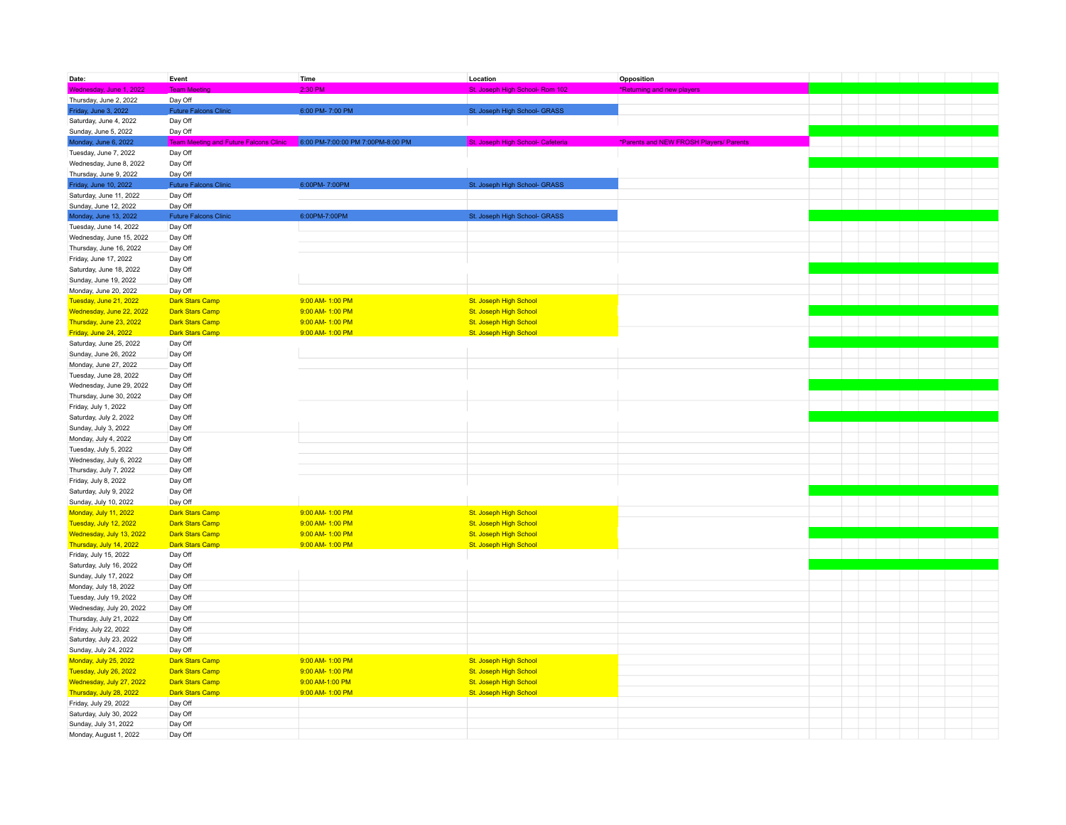| Date:                                           | Event                                    | Time                              | Location                          | Opposition                              |  |  |  |
|-------------------------------------------------|------------------------------------------|-----------------------------------|-----------------------------------|-----------------------------------------|--|--|--|
| Wednesday, June 1, 2022                         | <b>Team Meeting</b>                      | 2:30 PM                           | St. Joseph High School- Rom 102   | *Returning and new players              |  |  |  |
| Thursday, June 2, 2022                          | Day Off                                  |                                   |                                   |                                         |  |  |  |
| Friday, June 3, 2022                            | <b>Future Falcons Clinic</b>             | 6:00 PM-7:00 PM                   | St. Joseph High School- GRASS     |                                         |  |  |  |
| Saturday, June 4, 2022                          | Day Off                                  |                                   |                                   |                                         |  |  |  |
| Sunday, June 5, 2022                            | Day Off                                  |                                   |                                   |                                         |  |  |  |
| Monday, June 6, 2022                            | Team Me<br>ing and Future Falcons Clinic | 6:00 PM-7:00:00 PM 7:00PM-8:00 PM | St. Joseph High School- Cafeteria | *Parents and NEW FROSH Players/ Parents |  |  |  |
| Tuesday, June 7, 2022                           | Day Off                                  |                                   |                                   |                                         |  |  |  |
| Wednesday, June 8, 2022                         | Day Off                                  |                                   |                                   |                                         |  |  |  |
| Thursday, June 9, 2022                          | Day Off                                  |                                   |                                   |                                         |  |  |  |
| Friday, June 10, 2022                           | <b>Future Falcons Clinic</b>             | 6:00PM-7:00PM                     | St. Joseph High School- GRASS     |                                         |  |  |  |
| Saturday, June 11, 2022                         | Day Off                                  |                                   |                                   |                                         |  |  |  |
| Sunday, June 12, 2022                           | Day Off                                  |                                   |                                   |                                         |  |  |  |
| Monday, June 13, 2022                           | <b>Future Falcons Clinic</b>             | 6:00PM-7:00PM                     | St. Joseph High School- GRASS     |                                         |  |  |  |
| Tuesday, June 14, 2022                          | Day Off                                  |                                   |                                   |                                         |  |  |  |
| Wednesday, June 15, 2022                        | Day Off                                  |                                   |                                   |                                         |  |  |  |
| Thursday, June 16, 2022                         | Day Off                                  |                                   |                                   |                                         |  |  |  |
| Friday, June 17, 2022                           | Day Off                                  |                                   |                                   |                                         |  |  |  |
| Saturday, June 18, 2022                         | Day Off                                  |                                   |                                   |                                         |  |  |  |
| Sunday, June 19, 2022                           | Day Off                                  |                                   |                                   |                                         |  |  |  |
| Monday, June 20, 2022                           | Day Off                                  |                                   |                                   |                                         |  |  |  |
| Tuesday, June 21, 2022                          | Dark Stars Camp                          | 9:00 AM-1:00 PM                   | St. Joseph High School            |                                         |  |  |  |
| Wednesday, June 22, 2022                        | <b>Dark Stars Camp</b>                   | 9:00 AM-1:00 PM                   | St. Joseph High School            |                                         |  |  |  |
| Thursday, June 23, 2022                         | <b>Dark Stars Camp</b>                   | 9:00 AM-1:00 PM                   | St. Joseph High School            |                                         |  |  |  |
| Friday, June 24, 2022                           | Dark Stars Camp                          | 9:00 AM- 1:00 PM                  | St. Joseph High School            |                                         |  |  |  |
| Saturday, June 25, 2022                         | Day Off                                  |                                   |                                   |                                         |  |  |  |
| Sunday, June 26, 2022                           | Day Off                                  |                                   |                                   |                                         |  |  |  |
| Monday, June 27, 2022<br>Tuesday, June 28, 2022 | Day Off<br>Day Off                       |                                   |                                   |                                         |  |  |  |
| Wednesday, June 29, 2022                        | Day Off                                  |                                   |                                   |                                         |  |  |  |
| Thursday, June 30, 2022                         | Day Off                                  |                                   |                                   |                                         |  |  |  |
| Friday, July 1, 2022                            | Day Off                                  |                                   |                                   |                                         |  |  |  |
| Saturday, July 2, 2022                          | Day Off                                  |                                   |                                   |                                         |  |  |  |
| Sunday, July 3, 2022                            | Day Off                                  |                                   |                                   |                                         |  |  |  |
| Monday, July 4, 2022                            | Day Off                                  |                                   |                                   |                                         |  |  |  |
| Tuesday, July 5, 2022                           | Day Off                                  |                                   |                                   |                                         |  |  |  |
| Wednesday, July 6, 2022                         | Day Off                                  |                                   |                                   |                                         |  |  |  |
| Thursday, July 7, 2022                          | Day Off                                  |                                   |                                   |                                         |  |  |  |
| Friday, July 8, 2022                            | Day Off                                  |                                   |                                   |                                         |  |  |  |
| Saturday, July 9, 2022                          | Day Off                                  |                                   |                                   |                                         |  |  |  |
| Sunday, July 10, 2022                           | Day Off                                  |                                   |                                   |                                         |  |  |  |
| Monday, July 11, 2022                           | <b>Dark Stars Camp</b>                   | 9:00 AM-1:00 PM                   | St. Joseph High School            |                                         |  |  |  |
| Tuesday, July 12, 2022                          | <b>Dark Stars Camp</b>                   | 9:00 AM-1:00 PM                   | St. Joseph High School            |                                         |  |  |  |
| Wednesday, July 13, 2022                        | <b>Dark Stars Camp</b>                   | 9:00 AM-1:00 PM                   | St. Joseph High School            |                                         |  |  |  |
| Thursday, July 14, 2022                         | <b>Dark Stars Camp</b>                   | 9:00 AM-1:00 PM                   | St. Joseph High School            |                                         |  |  |  |
| Friday, July 15, 2022                           | Day Off                                  |                                   |                                   |                                         |  |  |  |
| Saturday, July 16, 2022                         | Day Off                                  |                                   |                                   |                                         |  |  |  |
| Sunday, July 17, 2022                           | Day Off                                  |                                   |                                   |                                         |  |  |  |
| Monday, July 18, 2022                           | Day Off                                  |                                   |                                   |                                         |  |  |  |
| Tuesday, July 19, 2022                          | Day Off                                  |                                   |                                   |                                         |  |  |  |
| Wednesday, July 20, 2022                        | Day Off                                  |                                   |                                   |                                         |  |  |  |
| Thursday, July 21, 2022                         | Day Off                                  |                                   |                                   |                                         |  |  |  |
| Friday, July 22, 2022                           | Day Off                                  |                                   |                                   |                                         |  |  |  |
| Saturday, July 23, 2022                         | Day Off                                  |                                   |                                   |                                         |  |  |  |
| Sunday, July 24, 2022<br>Monday, July 25, 2022  | Day Off<br><b>Dark Stars Camp</b>        | 9:00 AM-1:00 PM                   | St. Joseph High School            |                                         |  |  |  |
| Tuesday, July 26, 2022                          | <b>Dark Stars Camp</b>                   | 9:00 AM-1:00 PM                   | St. Joseph High School            |                                         |  |  |  |
| Wednesday, July 27, 2022                        | <b>Dark Stars Camp</b>                   | 9:00 AM-1:00 PM                   | St. Joseph High School            |                                         |  |  |  |
| Thursday, July 28, 2022                         | <b>Dark Stars Camp</b>                   | 9:00 AM-1:00 PM                   | St. Joseph High School            |                                         |  |  |  |
| Friday, July 29, 2022                           | Day Off                                  |                                   |                                   |                                         |  |  |  |
| Saturday, July 30, 2022                         | Day Off                                  |                                   |                                   |                                         |  |  |  |
| Sunday, July 31, 2022                           | Day Off                                  |                                   |                                   |                                         |  |  |  |
| Monday, August 1, 2022                          | Day Off                                  |                                   |                                   |                                         |  |  |  |